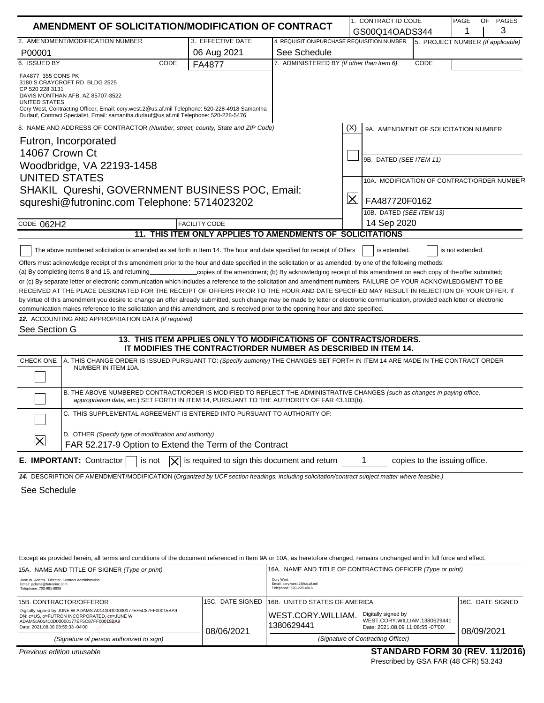|                                                                                                                             | AMENDMENT OF SOLICITATION/MODIFICATION OF CONTRACT                                                                                                                                                                       |                                                                                                               |                                            | 1. CONTRACT ID CODE     |                                            | PAGE             | OF | PAGES |
|-----------------------------------------------------------------------------------------------------------------------------|--------------------------------------------------------------------------------------------------------------------------------------------------------------------------------------------------------------------------|---------------------------------------------------------------------------------------------------------------|--------------------------------------------|-------------------------|--------------------------------------------|------------------|----|-------|
|                                                                                                                             |                                                                                                                                                                                                                          |                                                                                                               |                                            | GS00Q14OADS344          |                                            |                  |    | 3     |
| 2. AMENDMENT/MODIFICATION NUMBER                                                                                            |                                                                                                                                                                                                                          | 3. EFFECTIVE DATE                                                                                             | 4. REQUISITION/PURCHASE REQUISITION NUMBER |                         | 5. PROJECT NUMBER (If applicable)          |                  |    |       |
| P00001                                                                                                                      |                                                                                                                                                                                                                          | 06 Aug 2021                                                                                                   | See Schedule                               |                         |                                            |                  |    |       |
| 6. ISSUED BY                                                                                                                | CODE                                                                                                                                                                                                                     | FA4877                                                                                                        | 7. ADMINISTERED BY (If other than Item 6)  |                         | CODE                                       |                  |    |       |
| FA4877 355 CONS PK<br>3180 S CRAYCROFT RD BLDG 2525<br>CP 520 228 3131<br>DAVIS MONTHAN AFB, AZ 85707-3522<br>UNITED STATES | Cory West, Contracting Officer, Email: cory.west.2@us.af.mil Telephone: 520-228-4918 Samantha<br>Durlauf, Contract Specialist, Email: samantha.durlauf@us.af.mil Telephone: 520-228-5476                                 |                                                                                                               |                                            |                         |                                            |                  |    |       |
|                                                                                                                             | 8. NAME AND ADDRESS OF CONTRACTOR (Number, street, county, State and ZIP Code)                                                                                                                                           |                                                                                                               |                                            | (X)                     | 9A. AMENDMENT OF SOLICITATION NUMBER       |                  |    |       |
| Futron, Incorporated                                                                                                        |                                                                                                                                                                                                                          |                                                                                                               |                                            |                         |                                            |                  |    |       |
| 14067 Crown Ct                                                                                                              |                                                                                                                                                                                                                          |                                                                                                               |                                            |                         |                                            |                  |    |       |
|                                                                                                                             | Woodbridge, VA 22193-1458                                                                                                                                                                                                |                                                                                                               |                                            |                         | 9B. DATED (SEE ITEM 11)                    |                  |    |       |
| <b>UNITED STATES</b>                                                                                                        |                                                                                                                                                                                                                          |                                                                                                               |                                            |                         |                                            |                  |    |       |
|                                                                                                                             |                                                                                                                                                                                                                          |                                                                                                               |                                            |                         | 10A. MODIFICATION OF CONTRACT/ORDER NUMBER |                  |    |       |
|                                                                                                                             | SHAKIL Qureshi, GOVERNMENT BUSINESS POC, Email:                                                                                                                                                                          |                                                                                                               |                                            | $ \boldsymbol{\times} $ |                                            |                  |    |       |
|                                                                                                                             | squreshi@futroninc.com Telephone: 5714023202                                                                                                                                                                             |                                                                                                               |                                            |                         | FA487720F0162                              |                  |    |       |
|                                                                                                                             |                                                                                                                                                                                                                          |                                                                                                               |                                            |                         | 10B. DATED (SEE ITEM 13)                   |                  |    |       |
| CODE 062H2                                                                                                                  |                                                                                                                                                                                                                          | <b>FACILITY CODE</b>                                                                                          |                                            | 14 Sep 2020             |                                            |                  |    |       |
|                                                                                                                             |                                                                                                                                                                                                                          | 11. THIS ITEM ONLY APPLIES TO AMENDMENTS OF SOLICITATIONS                                                     |                                            |                         |                                            |                  |    |       |
|                                                                                                                             | The above numbered solicitation is amended as set forth in Item 14. The hour and date specified for receipt of Offers                                                                                                    |                                                                                                               |                                            | is extended.            |                                            | is not extended. |    |       |
|                                                                                                                             | Offers must acknowledge receipt of this amendment prior to the hour and date specified in the solicitation or as amended, by one of the following methods:                                                               |                                                                                                               |                                            |                         |                                            |                  |    |       |
| (a) By completing items 8 and 15, and returning                                                                             |                                                                                                                                                                                                                          | _copies of the amendment; (b) By acknowledging receipt of this amendment on each copy of the offer submitted; |                                            |                         |                                            |                  |    |       |
|                                                                                                                             | or (c) By separate letter or electronic communication which includes a reference to the solicitation and amendment numbers. FAILURE OF YOUR ACKNOWLEDGMENT TO BE                                                         |                                                                                                               |                                            |                         |                                            |                  |    |       |
|                                                                                                                             | RECEIVED AT THE PLACE DESIGNATED FOR THE RECEIPT OF OFFERS PRIOR TO THE HOUR AND DATE SPECIFIED MAY RESULT IN REJECTION OF YOUR OFFER. If                                                                                |                                                                                                               |                                            |                         |                                            |                  |    |       |
|                                                                                                                             | by virtue of this amendment you desire to change an offer already submitted, such change may be made by letter or electronic communication, provided each letter or electronic                                           |                                                                                                               |                                            |                         |                                            |                  |    |       |
|                                                                                                                             | communication makes reference to the solicitation and this amendment, and is received prior to the opening hour and date specified.<br>12. ACCOUNTING AND APPROPRIATION DATA (If required)                               |                                                                                                               |                                            |                         |                                            |                  |    |       |
| See Section G                                                                                                               |                                                                                                                                                                                                                          |                                                                                                               |                                            |                         |                                            |                  |    |       |
|                                                                                                                             |                                                                                                                                                                                                                          | 13. THIS ITEM APPLIES ONLY TO MODIFICATIONS OF CONTRACTS/ORDERS.                                              |                                            |                         |                                            |                  |    |       |
|                                                                                                                             |                                                                                                                                                                                                                          | IT MODIFIES THE CONTRACT/ORDER NUMBER AS DESCRIBED IN ITEM 14.                                                |                                            |                         |                                            |                  |    |       |
| CHECK ONE                                                                                                                   | A. THIS CHANGE ORDER IS ISSUED PURSUANT TO: (Specify authority) THE CHANGES SET FORTH IN ITEM 14 ARE MADE IN THE CONTRACT ORDER<br>NUMBER IN ITEM 10A.                                                                   |                                                                                                               |                                            |                         |                                            |                  |    |       |
|                                                                                                                             | B. THE ABOVE NUMBERED CONTRACT/ORDER IS MODIFIED TO REFLECT THE ADMINISTRATIVE CHANGES (such as changes in paying office,<br>appropriation data, etc.) SET FORTH IN ITEM 14, PURSUANT TO THE AUTHORITY OF FAR 43.103(b). |                                                                                                               |                                            |                         |                                            |                  |    |       |
|                                                                                                                             | C. THIS SUPPLEMENTAL AGREEMENT IS ENTERED INTO PURSUANT TO AUTHORITY OF:                                                                                                                                                 |                                                                                                               |                                            |                         |                                            |                  |    |       |
|                                                                                                                             | D. OTHER (Specify type of modification and authority)                                                                                                                                                                    |                                                                                                               |                                            |                         |                                            |                  |    |       |
| $\bm{\times}$                                                                                                               | FAR 52.217-9 Option to Extend the Term of the Contract                                                                                                                                                                   |                                                                                                               |                                            |                         |                                            |                  |    |       |
| E. IMPORTANT: Contractor                                                                                                    | $\mathsf{X}$<br>is not                                                                                                                                                                                                   | is required to sign this document and return                                                                  |                                            |                         | copies to the issuing office.              |                  |    |       |
|                                                                                                                             | 14. DESCRIPTION OF AMENDMENT/MODIFICATION (Organized by UCF section headings, including solicitation/contract subject matter where feasible.)                                                                            |                                                                                                               |                                            |                         |                                            |                  |    |       |
| See Schedule                                                                                                                |                                                                                                                                                                                                                          |                                                                                                               |                                            |                         |                                            |                  |    |       |
|                                                                                                                             |                                                                                                                                                                                                                          |                                                                                                               |                                            |                         |                                            |                  |    |       |
|                                                                                                                             |                                                                                                                                                                                                                          |                                                                                                               |                                            |                         |                                            |                  |    |       |

Except as provided herein, all terms and conditions of the document referenced in Item 9A or 10A, as heretofore changed, remains unchanged and in full force and effect.

| 15A. NAME AND TITLE OF SIGNER (Type or print)                                                                                                                                                |            | 16A. NAME AND TITLE OF CONTRACTING OFFICER (Type or print)                  |                                                                                          |                  |  |
|----------------------------------------------------------------------------------------------------------------------------------------------------------------------------------------------|------------|-----------------------------------------------------------------------------|------------------------------------------------------------------------------------------|------------------|--|
| June W. Adams Director, Contract Administration<br>Email: iadams@futroninc.com<br>Telephone: 703-981-8938                                                                                    |            | <b>Cory West</b><br>Email: cory.west.2@us.af.mil<br>Telephone: 520-228-4918 |                                                                                          |                  |  |
| 15B. CONTRACTOR/OFFEROR                                                                                                                                                                      |            | 115C. DATE SIGNED 116B. UNITED STATES OF AMERICA                            |                                                                                          | 16C. DATE SIGNED |  |
| Digitally signed by JUNE W ADAMS:A01410D00000177EF5C87FF00015BA9<br>DN: c=US, o=FUTRON INCORPORATED, cn=JUNE W<br>ADAMS:A01410D00000177EF5C87FF00015BA9<br>Date: 2021.08.06 08:55:33 -04'00' | 08/06/2021 | WEST.CORY.WILLIAM.<br>1380629441                                            | Digitally signed by<br>WEST.CORY.WILLIAM.1380629441<br>Date: 2021.08.09 11:08:55 -07'00' | 08/09/2021       |  |
| (Signature of person authorized to sign)                                                                                                                                                     |            |                                                                             | (Signature of Contracting Officer)                                                       |                  |  |
|                                                                                                                                                                                              |            |                                                                             |                                                                                          |                  |  |

# *Previous edition unusable* **STANDARD FORM 30 (REV. 11/2016)**

Prescribed by GSA FAR (48 CFR) 53.243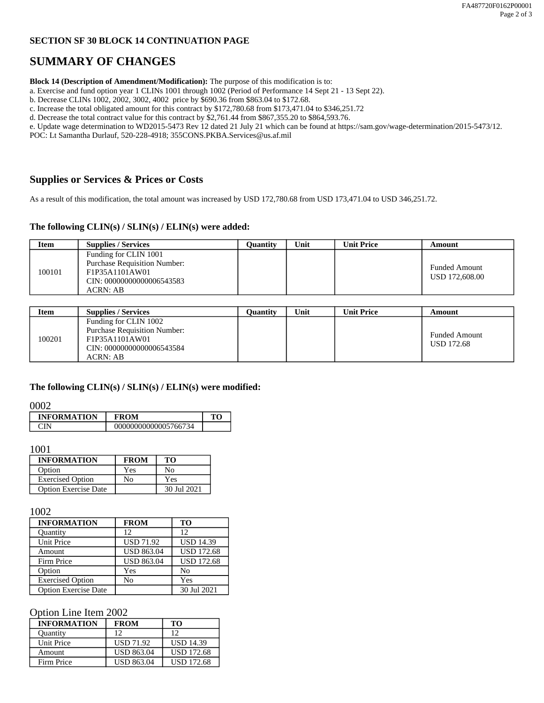# **SECTION SF 30 BLOCK 14 CONTINUATION PAGE**

# **SUMMARY OF CHANGES**

**Block 14 (Description of Amendment/Modification):** The purpose of this modification is to:

a. Exercise and fund option year 1 CLINs 1001 through 1002 (Period of Performance 14 Sept 21 - 13 Sept 22).

b. Decrease CLINs 1002, 2002, 3002, 4002 price by \$690.36 from \$863.04 to \$172.68.

c. Increase the total obligated amount for this contract by \$172,780.68 from \$173,471.04 to \$346,251.72

d. Decrease the total contract value for this contract by \$2,761.44 from \$867,355.20 to \$864,593.76.

e. Update wage determination to WD2015-5473 Rev 12 dated 21 July 21 which can be found at https://sam.gov/wage-determination/2015-5473/12.

POC: Lt Samantha Durlauf, 520-228-4918; 355CONS.PKBA.Services@us.af.mil

# **Supplies or Services & Prices or Costs**

As a result of this modification, the total amount was increased by USD 172,780.68 from USD 173,471.04 to USD 346,251.72.

#### **The following CLIN(s) / SLIN(s) / ELIN(s) were added:**

| Item   | <b>Supplies / Services</b>                                                                                              | Ouantity | Unit | Unit Price | Amount                                 |
|--------|-------------------------------------------------------------------------------------------------------------------------|----------|------|------------|----------------------------------------|
| 100101 | Funding for CLIN 1001<br><b>Purchase Requisition Number:</b><br>F1P35A1101AW01<br>CIN: 00000000000006543583<br>ACRN: AB |          |      |            | <b>Funded Amount</b><br>USD 172,608.00 |

| Item   | <b>Supplies / Services</b>                                                                                              | Ouantitv | Unit | Unit Price | Amount                             |
|--------|-------------------------------------------------------------------------------------------------------------------------|----------|------|------------|------------------------------------|
| 100201 | Funding for CLIN 1002<br><b>Purchase Requisition Number:</b><br>F1P35A1101AW01<br>CIN: 00000000000006543584<br>ACRN: AB |          |      |            | <b>Funded Amount</b><br>USD 172.68 |

#### **The following CLIN(s) / SLIN(s) / ELIN(s) were modified:**

#### 0002

| <b>INFORMATION</b> | <b>FROM</b>          |  |
|--------------------|----------------------|--|
|                    | 00000000000005766734 |  |

# 1001

| <b>INFORMATION</b>          | <b>FROM</b> | TО          |
|-----------------------------|-------------|-------------|
| Option                      | Yes         | No          |
| <b>Exercised Option</b>     | No          | Yes         |
| <b>Option Exercise Date</b> |             | 30 Jul 2021 |

#### 1002

| <b>INFORMATION</b>          | <b>FROM</b>       | TO                |
|-----------------------------|-------------------|-------------------|
| Quantity                    | 12                | 12                |
| <b>Unit Price</b>           | <b>USD 71.92</b>  | <b>USD 14.39</b>  |
| Amount                      | <b>USD 863.04</b> | <b>USD 172.68</b> |
| Firm Price                  | <b>USD 863.04</b> | <b>USD 172.68</b> |
| Option                      | Yes               | No                |
| <b>Exercised Option</b>     | No                | Yes               |
| <b>Option Exercise Date</b> |                   | 30 Jul 2021       |

### Option Line Item 2002

| <b>INFORMATION</b> | <b>FROM</b>       | TО                |
|--------------------|-------------------|-------------------|
| <b>Ouantity</b>    | 12                | 12                |
| Unit Price         | <b>USD 71.92</b>  | <b>USD 14.39</b>  |
| Amount             | <b>USD 863.04</b> | <b>USD 172.68</b> |
| Firm Price         | <b>USD 863.04</b> | <b>USD 172.68</b> |